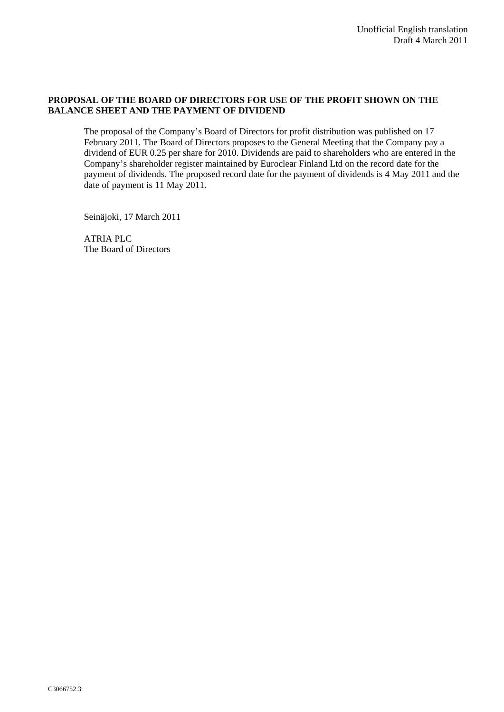## **PROPOSAL OF THE BOARD OF DIRECTORS FOR USE OF THE PROFIT SHOWN ON THE BALANCE SHEET AND THE PAYMENT OF DIVIDEND**

The proposal of the Company's Board of Directors for profit distribution was published on 17 February 2011. The Board of Directors proposes to the General Meeting that the Company pay a dividend of EUR 0.25 per share for 2010. Dividends are paid to shareholders who are entered in the Company's shareholder register maintained by Euroclear Finland Ltd on the record date for the payment of dividends. The proposed record date for the payment of dividends is 4 May 2011 and the date of payment is 11 May 2011.

Seinäjoki, 17 March 2011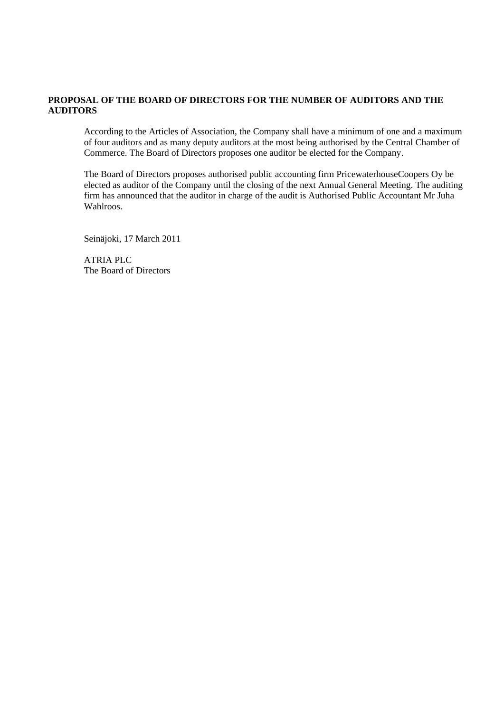## **PROPOSAL OF THE BOARD OF DIRECTORS FOR THE NUMBER OF AUDITORS AND THE AUDITORS**

According to the Articles of Association, the Company shall have a minimum of one and a maximum of four auditors and as many deputy auditors at the most being authorised by the Central Chamber of Commerce. The Board of Directors proposes one auditor be elected for the Company.

The Board of Directors proposes authorised public accounting firm PricewaterhouseCoopers Oy be elected as auditor of the Company until the closing of the next Annual General Meeting. The auditing firm has announced that the auditor in charge of the audit is Authorised Public Accountant Mr Juha Wahlroos.

Seinäjoki, 17 March 2011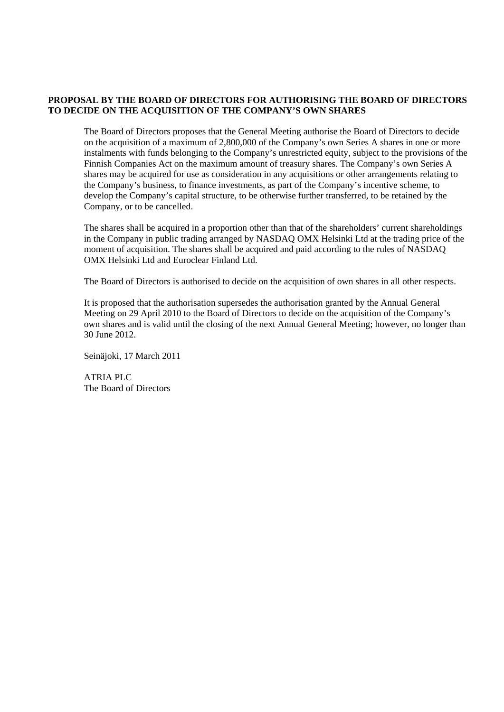## **PROPOSAL BY THE BOARD OF DIRECTORS FOR AUTHORISING THE BOARD OF DIRECTORS TO DECIDE ON THE ACQUISITION OF THE COMPANY'S OWN SHARES**

The Board of Directors proposes that the General Meeting authorise the Board of Directors to decide on the acquisition of a maximum of 2,800,000 of the Company's own Series A shares in one or more instalments with funds belonging to the Company's unrestricted equity, subject to the provisions of the Finnish Companies Act on the maximum amount of treasury shares. The Company's own Series A shares may be acquired for use as consideration in any acquisitions or other arrangements relating to the Company's business, to finance investments, as part of the Company's incentive scheme, to develop the Company's capital structure, to be otherwise further transferred, to be retained by the Company, or to be cancelled.

The shares shall be acquired in a proportion other than that of the shareholders' current shareholdings in the Company in public trading arranged by NASDAQ OMX Helsinki Ltd at the trading price of the moment of acquisition. The shares shall be acquired and paid according to the rules of NASDAQ OMX Helsinki Ltd and Euroclear Finland Ltd.

The Board of Directors is authorised to decide on the acquisition of own shares in all other respects.

It is proposed that the authorisation supersedes the authorisation granted by the Annual General Meeting on 29 April 2010 to the Board of Directors to decide on the acquisition of the Company's own shares and is valid until the closing of the next Annual General Meeting; however, no longer than 30 June 2012.

Seinäjoki, 17 March 2011